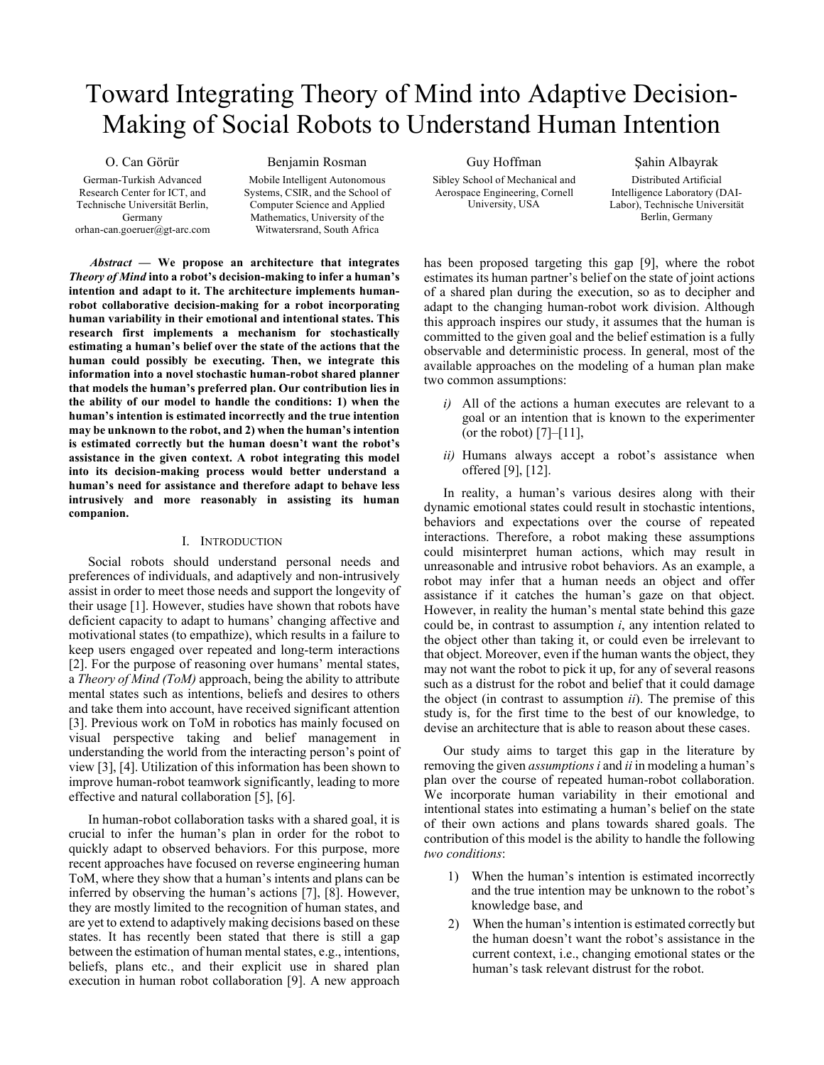# Toward Integrating Theory of Mind into Adaptive Decision-Making of Social Robots to Understand Human Intention

O. Can Görür German-Turkish Advanced Research Center for ICT, and Technische Universität Berlin, Germany orhan-can.goeruer@gt-arc.com

## Benjamin Rosman

Mobile Intelligent Autonomous Systems, CSIR, and the School of Computer Science and Applied Mathematics, University of the Witwatersrand, South Africa

*Abstract* **— We propose an architecture that integrates**  *Theory of Mind* **into a robot's decision-making to infer a human's intention and adapt to it. The architecture implements humanrobot collaborative decision-making for a robot incorporating human variability in their emotional and intentional states. This research first implements a mechanism for stochastically estimating a human's belief over the state of the actions that the human could possibly be executing. Then, we integrate this information into a novel stochastic human-robot shared planner that models the human's preferred plan. Our contribution lies in the ability of our model to handle the conditions: 1) when the human's intention is estimated incorrectly and the true intention may be unknown to the robot, and 2) when the human's intention is estimated correctly but the human doesn't want the robot's assistance in the given context. A robot integrating this model into its decision-making process would better understand a human's need for assistance and therefore adapt to behave less intrusively and more reasonably in assisting its human companion.**

# I. INTRODUCTION

Social robots should understand personal needs and preferences of individuals, and adaptively and non-intrusively assist in order to meet those needs and support the longevity of their usage [1]. However, studies have shown that robots have deficient capacity to adapt to humans' changing affective and motivational states (to empathize), which results in a failure to keep users engaged over repeated and long-term interactions [2]. For the purpose of reasoning over humans' mental states, a *Theory of Mind (ToM)* approach, being the ability to attribute mental states such as intentions, beliefs and desires to others and take them into account, have received significant attention [3]. Previous work on ToM in robotics has mainly focused on visual perspective taking and belief management in understanding the world from the interacting person's point of view [3], [4]. Utilization of this information has been shown to improve human-robot teamwork significantly, leading to more effective and natural collaboration [5], [6].

In human-robot collaboration tasks with a shared goal, it is crucial to infer the human's plan in order for the robot to quickly adapt to observed behaviors. For this purpose, more recent approaches have focused on reverse engineering human ToM, where they show that a human's intents and plans can be inferred by observing the human's actions [7], [8]. However, they are mostly limited to the recognition of human states, and are yet to extend to adaptively making decisions based on these states. It has recently been stated that there is still a gap between the estimation of human mental states, e.g., intentions, beliefs, plans etc., and their explicit use in shared plan execution in human robot collaboration [9]. A new approach

Guy Hoffman Sibley School of Mechanical and Aerospace Engineering, Cornell University, USA

Şahin Albayrak Distributed Artificial Intelligence Laboratory (DAI-Labor), Technische Universität Berlin, Germany

has been proposed targeting this gap [9], where the robot estimates its human partner's belief on the state of joint actions of a shared plan during the execution, so as to decipher and adapt to the changing human-robot work division. Although this approach inspires our study, it assumes that the human is committed to the given goal and the belief estimation is a fully observable and deterministic process. In general, most of the available approaches on the modeling of a human plan make two common assumptions:

- *i)* All of the actions a human executes are relevant to a goal or an intention that is known to the experimenter (or the robot) [7]–[11],
- *ii)* Humans always accept a robot's assistance when offered [9], [12].

In reality, a human's various desires along with their dynamic emotional states could result in stochastic intentions, behaviors and expectations over the course of repeated interactions. Therefore, a robot making these assumptions could misinterpret human actions, which may result in unreasonable and intrusive robot behaviors. As an example, a robot may infer that a human needs an object and offer assistance if it catches the human's gaze on that object. However, in reality the human's mental state behind this gaze could be, in contrast to assumption *i*, any intention related to the object other than taking it, or could even be irrelevant to that object. Moreover, even if the human wants the object, they may not want the robot to pick it up, for any of several reasons such as a distrust for the robot and belief that it could damage the object (in contrast to assumption *ii*). The premise of this study is, for the first time to the best of our knowledge, to devise an architecture that is able to reason about these cases.

Our study aims to target this gap in the literature by removing the given *assumptions i* and *ii* in modeling a human's plan over the course of repeated human-robot collaboration. We incorporate human variability in their emotional and intentional states into estimating a human's belief on the state of their own actions and plans towards shared goals. The contribution of this model is the ability to handle the following *two conditions*:

- 1) When the human's intention is estimated incorrectly and the true intention may be unknown to the robot's knowledge base, and
- 2) When the human's intention is estimated correctly but the human doesn't want the robot's assistance in the current context, i.e., changing emotional states or the human's task relevant distrust for the robot.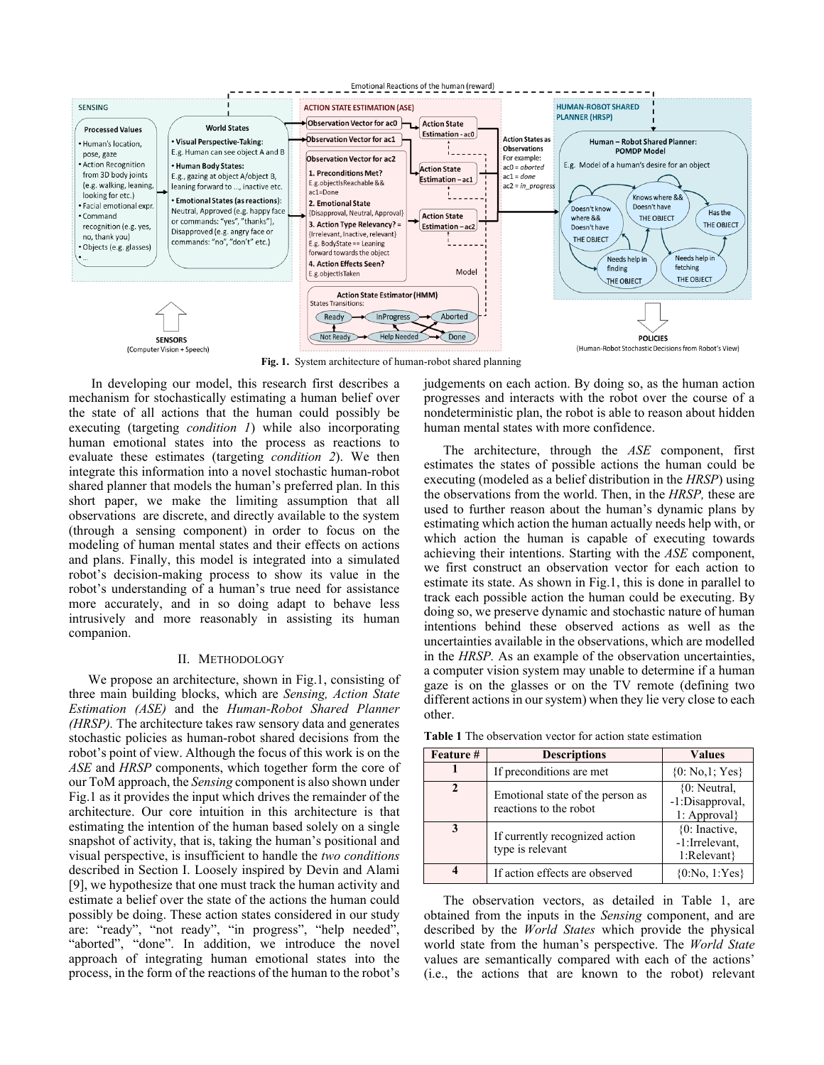

**Fig. 1.** System architecture of human-robot shared planning

In developing our model, this research first describes a mechanism for stochastically estimating a human belief over the state of all actions that the human could possibly be executing (targeting *condition 1*) while also incorporating human emotional states into the process as reactions to evaluate these estimates (targeting *condition 2*). We then integrate this information into a novel stochastic human-robot shared planner that models the human's preferred plan. In this short paper, we make the limiting assumption that all observations are discrete, and directly available to the system (through a sensing component) in order to focus on the modeling of human mental states and their effects on actions and plans. Finally, this model is integrated into a simulated robot's decision-making process to show its value in the robot's understanding of a human's true need for assistance more accurately, and in so doing adapt to behave less intrusively and more reasonably in assisting its human companion.

#### II. METHODOLOGY

We propose an architecture, shown in Fig.1, consisting of three main building blocks, which are *Sensing, Action State Estimation (ASE)* and the *Human-Robot Shared Planner (HRSP).* The architecture takes raw sensory data and generates stochastic policies as human-robot shared decisions from the robot's point of view. Although the focus of this work is on the *ASE* and *HRSP* components, which together form the core of our ToM approach, the *Sensing* component is also shown under Fig.1 as it provides the input which drives the remainder of the architecture. Our core intuition in this architecture is that estimating the intention of the human based solely on a single snapshot of activity, that is, taking the human's positional and visual perspective, is insufficient to handle the *two conditions* described in Section I. Loosely inspired by Devin and Alami [9], we hypothesize that one must track the human activity and estimate a belief over the state of the actions the human could possibly be doing. These action states considered in our study are: "ready", "not ready", "in progress", "help needed" "aborted", "done". In addition, we introduce the novel approach of integrating human emotional states into the process, in the form of the reactions of the human to the robot's

judgements on each action. By doing so, as the human action progresses and interacts with the robot over the course of a nondeterministic plan, the robot is able to reason about hidden human mental states with more confidence.

The architecture, through the *ASE* component, first estimates the states of possible actions the human could be executing (modeled as a belief distribution in the *HRSP*) using the observations from the world. Then, in the *HRSP,* these are used to further reason about the human's dynamic plans by estimating which action the human actually needs help with, or which action the human is capable of executing towards achieving their intentions. Starting with the *ASE* component, we first construct an observation vector for each action to estimate its state. As shown in Fig.1, this is done in parallel to track each possible action the human could be executing. By doing so, we preserve dynamic and stochastic nature of human intentions behind these observed actions as well as the uncertainties available in the observations, which are modelled in the *HRSP.* As an example of the observation uncertainties, a computer vision system may unable to determine if a human gaze is on the glasses or on the TV remote (defining two different actions in our system) when they lie very close to each other.

| <b>Feature</b> # | <b>Descriptions</b>                                        | <b>Values</b>                                     |  |
|------------------|------------------------------------------------------------|---------------------------------------------------|--|
|                  | If preconditions are met                                   | ${0: No, 1; Yes}$                                 |  |
| 2                | Emotional state of the person as<br>reactions to the robot | $\{0:$ Neutral,<br>-1:Disapproval,<br>1: Approval |  |
| 3                | If currently recognized action<br>type is relevant         | ${0:}$ Inactive,<br>-1:Irrelevant,<br>1:Relevant} |  |
|                  | If action effects are observed                             | ${0:No, 1:Yes}$                                   |  |

**Table 1** The observation vector for action state estimation

The observation vectors, as detailed in Table 1, are obtained from the inputs in the *Sensing* component, and are described by the *World States* which provide the physical world state from the human's perspective. The *World State*  values are semantically compared with each of the actions' (i.e., the actions that are known to the robot) relevant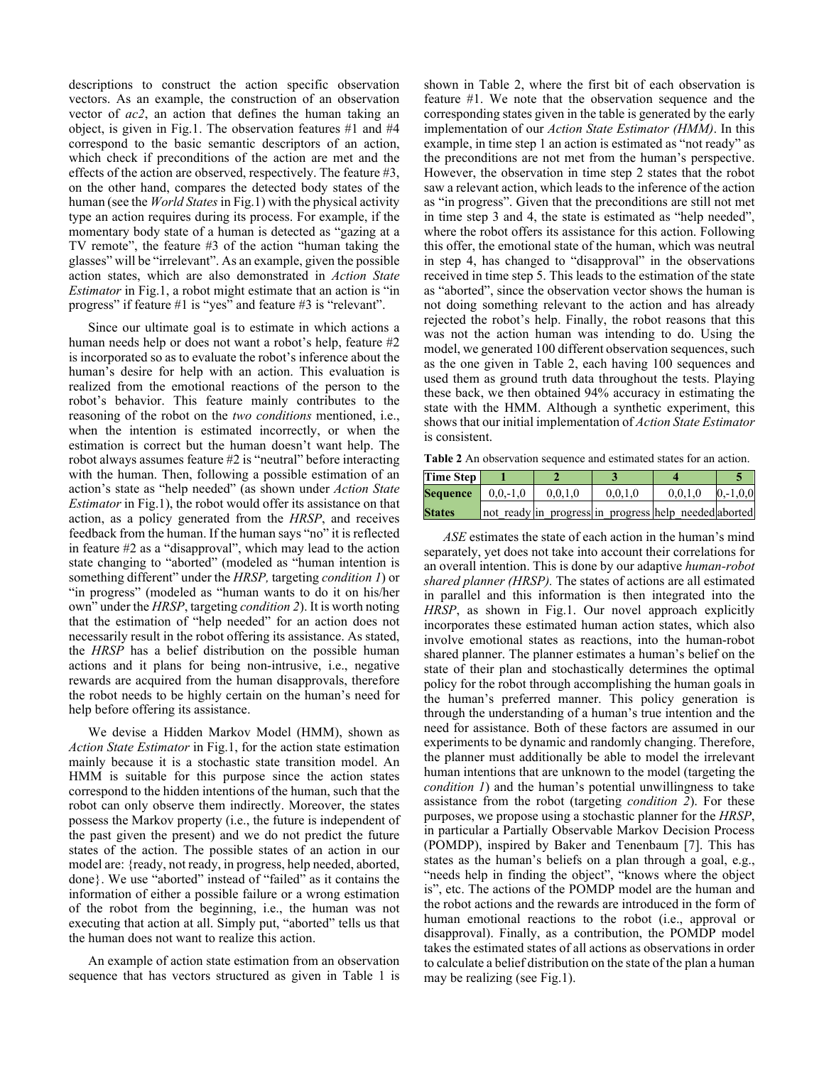descriptions to construct the action specific observation vectors. As an example, the construction of an observation vector of *ac2*, an action that defines the human taking an object, is given in Fig.1. The observation features #1 and #4 correspond to the basic semantic descriptors of an action, which check if preconditions of the action are met and the effects of the action are observed, respectively. The feature #3, on the other hand, compares the detected body states of the human (see the *World States* in Fig.1) with the physical activity type an action requires during its process. For example, if the momentary body state of a human is detected as "gazing at a TV remote", the feature #3 of the action "human taking the glasses" will be "irrelevant". As an example, given the possible action states, which are also demonstrated in *Action State Estimator* in Fig.1, a robot might estimate that an action is "in progress" if feature #1 is "yes" and feature #3 is "relevant".

Since our ultimate goal is to estimate in which actions a human needs help or does not want a robot's help, feature #2 is incorporated so as to evaluate the robot's inference about the human's desire for help with an action. This evaluation is realized from the emotional reactions of the person to the robot's behavior. This feature mainly contributes to the reasoning of the robot on the *two conditions* mentioned, i.e., when the intention is estimated incorrectly, or when the estimation is correct but the human doesn't want help. The robot always assumes feature #2 is "neutral" before interacting with the human. Then, following a possible estimation of an action's state as "help needed" (as shown under *Action State Estimator* in Fig.1), the robot would offer its assistance on that action, as a policy generated from the *HRSP*, and receives feedback from the human. If the human says "no" it is reflected in feature #2 as a "disapproval", which may lead to the action state changing to "aborted" (modeled as "human intention is something different" under the *HRSP,* targeting *condition 1*) or "in progress" (modeled as "human wants to do it on his/her own" under the *HRSP*, targeting *condition 2*). It is worth noting that the estimation of "help needed" for an action does not necessarily result in the robot offering its assistance. As stated, the *HRSP* has a belief distribution on the possible human actions and it plans for being non-intrusive, i.e., negative rewards are acquired from the human disapprovals, therefore the robot needs to be highly certain on the human's need for help before offering its assistance.

We devise a Hidden Markov Model (HMM), shown as *Action State Estimator* in Fig.1, for the action state estimation mainly because it is a stochastic state transition model. An HMM is suitable for this purpose since the action states correspond to the hidden intentions of the human, such that the robot can only observe them indirectly. Moreover, the states possess the Markov property (i.e., the future is independent of the past given the present) and we do not predict the future states of the action. The possible states of an action in our model are: {ready, not ready, in progress, help needed, aborted, done}. We use "aborted" instead of "failed" as it contains the information of either a possible failure or a wrong estimation of the robot from the beginning, i.e., the human was not executing that action at all. Simply put, "aborted" tells us that the human does not want to realize this action.

An example of action state estimation from an observation sequence that has vectors structured as given in Table 1 is shown in Table 2, where the first bit of each observation is feature #1. We note that the observation sequence and the corresponding states given in the table is generated by the early implementation of our *Action State Estimator (HMM)*. In this example, in time step 1 an action is estimated as "not ready" as the preconditions are not met from the human's perspective. However, the observation in time step 2 states that the robot saw a relevant action, which leads to the inference of the action as "in progress". Given that the preconditions are still not met in time step 3 and 4, the state is estimated as "help needed", where the robot offers its assistance for this action. Following this offer, the emotional state of the human, which was neutral in step 4, has changed to "disapproval" in the observations received in time step 5. This leads to the estimation of the state as "aborted", since the observation vector shows the human is not doing something relevant to the action and has already rejected the robot's help. Finally, the robot reasons that this was not the action human was intending to do. Using the model, we generated 100 different observation sequences, such as the one given in Table 2, each having 100 sequences and used them as ground truth data throughout the tests. Playing these back, we then obtained 94% accuracy in estimating the state with the HMM. Although a synthetic experiment, this shows that our initial implementation of *Action State Estimator*  is consistent.

**Table 2** An observation sequence and estimated states for an action.

| <b>Time Step</b>                                            |         |         |                                                       |               |
|-------------------------------------------------------------|---------|---------|-------------------------------------------------------|---------------|
| <b>Sequence</b> $\begin{array}{ c c } 0,0,-1,0 \end{array}$ | 0.0.1.0 | 0.0.1.0 | 0.0.1.0                                               | $0, -1, 0, 0$ |
| <b>States</b>                                               |         |         | not ready in progress in progress help needed aborted |               |

*ASE* estimates the state of each action in the human's mind separately, yet does not take into account their correlations for an overall intention. This is done by our adaptive *human-robot shared planner (HRSP).* The states of actions are all estimated in parallel and this information is then integrated into the *HRSP*, as shown in Fig.1. Our novel approach explicitly incorporates these estimated human action states, which also involve emotional states as reactions, into the human-robot shared planner. The planner estimates a human's belief on the state of their plan and stochastically determines the optimal policy for the robot through accomplishing the human goals in the human's preferred manner. This policy generation is through the understanding of a human's true intention and the need for assistance. Both of these factors are assumed in our experiments to be dynamic and randomly changing. Therefore, the planner must additionally be able to model the irrelevant human intentions that are unknown to the model (targeting the *condition 1*) and the human's potential unwillingness to take assistance from the robot (targeting *condition 2*). For these purposes, we propose using a stochastic planner for the *HRSP*, in particular a Partially Observable Markov Decision Process (POMDP), inspired by Baker and Tenenbaum [7]. This has states as the human's beliefs on a plan through a goal, e.g., "needs help in finding the object", "knows where the object is", etc. The actions of the POMDP model are the human and the robot actions and the rewards are introduced in the form of human emotional reactions to the robot (i.e., approval or disapproval). Finally, as a contribution, the POMDP model takes the estimated states of all actions as observations in order to calculate a belief distribution on the state of the plan a human may be realizing (see Fig.1).